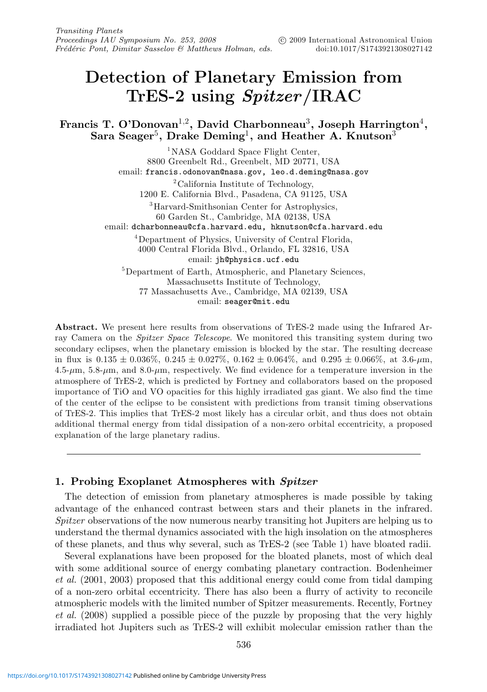# **Detection of Planetary Emission from TrES-2 using** *Spitzer***/IRAC**

**Francis T. O'Donovan**1,2**, David Charbonneau**3**, Joseph Harrington**4**, Sara Seager**5**, Drake Deming**1**, and Heather A. Knutson**<sup>3</sup>

<sup>1</sup>NASA Goddard Space Flight Center, 8800 Greenbelt Rd., Greenbelt, MD 20771, USA email: francis.odonovan@nasa.gov, leo.d.deming@nasa.gov <sup>2</sup>California Institute of Technology, 1200 E. California Blvd., Pasadena, CA 91125, USA 3Harvard-Smithsonian Center for Astrophysics, 60 Garden St., Cambridge, MA 02138, USA email: dcharbonneau@cfa.harvard.edu, hknutson@cfa.harvard.edu 4Department of Physics, University of Central Florida, 4000 Central Florida Blvd., Orlando, FL 32816, USA email: jh@physics.ucf.edu 5Department of Earth, Atmospheric, and Planetary Sciences, Massachusetts Institute of Technology, 77 Massachusetts Ave., Cambridge, MA 02139, USA email: seager@mit.edu

**Abstract.** We present here results from observations of TrES-2 made using the Infrared Array Camera on the *Spitzer Space Telescope*. We monitored this transiting system during two secondary eclipses, when the planetary emission is blocked by the star. The resulting decrease in flux is  $0.135 \pm 0.036\%$ ,  $0.245 \pm 0.027\%$ ,  $0.162 \pm 0.064\%$ , and  $0.295 \pm 0.066\%$ , at  $3.6$ - $\mu$ m,  $4.5\text{-}\mu\text{m}$ ,  $5.8\text{-}\mu\text{m}$ , and  $8.0\text{-}\mu\text{m}$ , respectively. We find evidence for a temperature inversion in the atmosphere of TrES-2, which is predicted by Fortney and collaborators based on the proposed importance of TiO and VO opacities for this highly irradiated gas giant. We also find the time of the center of the eclipse to be consistent with predictions from transit timing observations of TrES-2. This implies that TrES-2 most likely has a circular orbit, and thus does not obtain additional thermal energy from tidal dissipation of a non-zero orbital eccentricity, a proposed explanation of the large planetary radius.

# **1. Probing Exoplanet Atmospheres with** *Spitzer*

The detection of emission from planetary atmospheres is made possible by taking advantage of the enhanced contrast between stars and their planets in the infrared. Spitzer observations of the now numerous nearby transiting hot Jupiters are helping us to understand the thermal dynamics associated with the high insolation on the atmospheres of these planets, and thus why several, such as TrES-2 (see Table 1) have bloated radii.

Several explanations have been proposed for the bloated planets, most of which deal with some additional source of energy combating planetary contraction. Bodenheimer et al. (2001, 2003) proposed that this additional energy could come from tidal damping of a non-zero orbital eccentricity. There has also been a flurry of activity to reconcile atmospheric models with the limited number of Spitzer measurements. Recently, Fortney et al. (2008) supplied a possible piece of the puzzle by proposing that the very highly irradiated hot Jupiters such as TrES-2 will exhibit molecular emission rather than the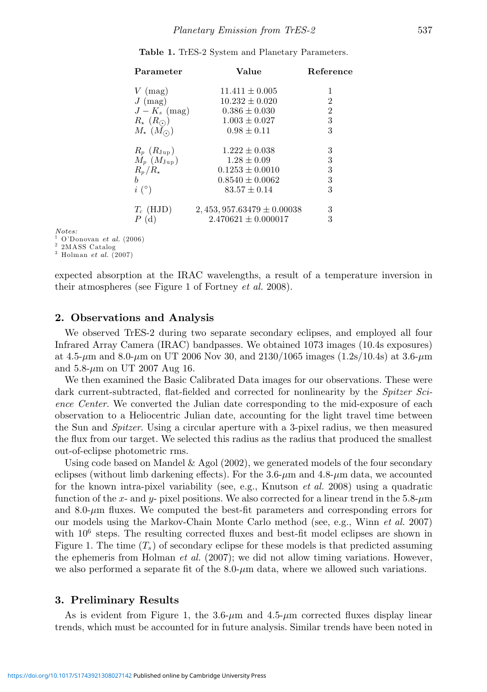| Table 1. TrES-2 System and Planetary Parameters. |  |
|--------------------------------------------------|--|
|--------------------------------------------------|--|

| Parameter                 | Value                         | Reference      |
|---------------------------|-------------------------------|----------------|
| $V \text{ (mag)}$         | $11.411 \pm 0.005$            | 1              |
| $J \; (mag)$              | $10.232 \pm 0.020$            | 2              |
| $J-K_s$ (mag)             | $0.386 \pm 0.030$             | $\overline{2}$ |
| $R_{\star}$ $(R_{\odot})$ | $1.003 \pm 0.027$             | 3              |
| $M_{\star}$ $(M_{\odot})$ | $0.98 \pm 0.11$               | 3              |
| $R_p$ $(R_{\rm Jup})$     | $1.222 \pm 0.038$             | 3              |
| $M_p$ $(M_{\text{Jup}})$  | $1.28 + 0.09$                 | 3              |
| $R_n/R_*$                 | $0.1253 \pm 0.0010$           | 3              |
| <sub>b</sub>              | $0.8540 \pm 0.0062$           | 3              |
| $i\binom{\circ}{ }$       | $83.57 + 0.14$                | 3              |
| $T_c$ (HJD)               | $2,453,957.63479 \pm 0.00038$ | 3              |
| P(d)                      | $2.470621 \pm 0.000017$       | 3              |

Notes:

<sup>1</sup> O'Donovan et al. (2006)<br><sup>2</sup> 2MASS Catalog<br><sup>3</sup> Holman et al. (2007)

expected absorption at the IRAC wavelengths, a result of a temperature inversion in their atmospheres (see Figure 1 of Fortney et al. 2008).

## **2. Observations and Analysis**

We observed TrES-2 during two separate secondary eclipses, and employed all four Infrared Array Camera (IRAC) bandpasses. We obtained 1073 images (10.4s exposures) at 4.5- $\mu$ m and 8.0- $\mu$ m on UT 2006 Nov 30, and 2130/1065 images (1.2s/10.4s) at 3.6- $\mu$ m and  $5.8\text{-}\mu\text{m}$  on UT 2007 Aug 16.

We then examined the Basic Calibrated Data images for our observations. These were dark current-subtracted, flat-fielded and corrected for nonlinearity by the *Spitzer Sci*ence Center. We converted the Julian date corresponding to the mid-exposure of each observation to a Heliocentric Julian date, accounting for the light travel time between the Sun and *Spitzer*. Using a circular aperture with a 3-pixel radius, we then measured the flux from our target. We selected this radius as the radius that produced the smallest out-of-eclipse photometric rms.

Using code based on Mandel  $\&$  Agol (2002), we generated models of the four secondary eclipses (without limb darkening effects). For the  $3.6-\mu m$  and  $4.8-\mu m$  data, we accounted for the known intra-pixel variability (see, e.g., Knutson *et al.* 2008) using a quadratic function of the x- and y- pixel positions. We also corrected for a linear trend in the  $5.8-\mu m$ and  $8.0-\mu m$  fluxes. We computed the best-fit parameters and corresponding errors for our models using the Markov-Chain Monte Carlo method (see, e.g., Winn et al. 2007) with  $10<sup>6</sup>$  steps. The resulting corrected fluxes and best-fit model eclipses are shown in Figure 1. The time  $(T_s)$  of secondary eclipse for these models is that predicted assuming the ephemeris from Holman *et al.* (2007); we did not allow timing variations. However, we also performed a separate fit of the  $8.0\text{-}\mu\text{m}$  data, where we allowed such variations.

#### **3. Preliminary Results**

As is evident from Figure 1, the  $3.6-\mu m$  and  $4.5-\mu m$  corrected fluxes display linear trends, which must be accounted for in future analysis. Similar trends have been noted in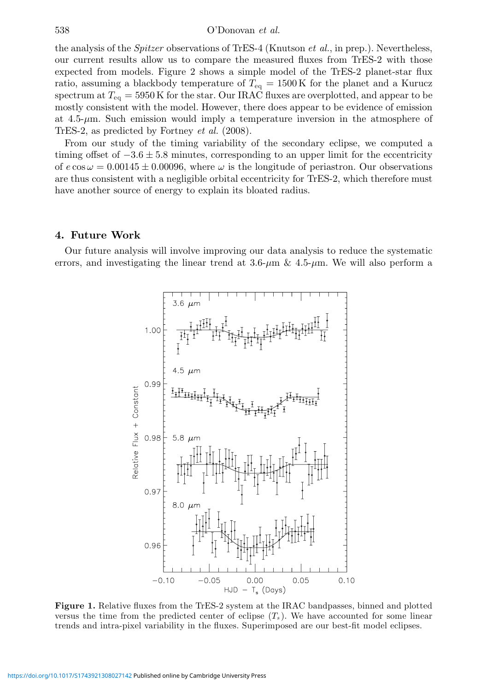the analysis of the *Spitzer* observations of TrES-4 (Knutson *et al.*, in prep.). Nevertheless, our current results allow us to compare the measured fluxes from TrES-2 with those expected from models. Figure 2 shows a simple model of the TrES-2 planet-star flux ratio, assuming a blackbody temperature of  $T_{eq} = 1500 \text{ K}$  for the planet and a Kurucz spectrum at  $T_{eq} = 5950 \text{ K}$  for the star. Our IRAC fluxes are overplotted, and appear to be mostly consistent with the model. However, there does appear to be evidence of emission at  $4.5-\mu m$ . Such emission would imply a temperature inversion in the atmosphere of TrES-2, as predicted by Fortney et al. (2008).

From our study of the timing variability of the secondary eclipse, we computed a timing offset of  $-3.6 \pm 5.8$  minutes, corresponding to an upper limit for the eccentricity of  $e \cos \omega = 0.00145 \pm 0.00096$ , where  $\omega$  is the longitude of periastron. Our observations are thus consistent with a negligible orbital eccentricity for TrES-2, which therefore must have another source of energy to explain its bloated radius.

## **4. Future Work**

Our future analysis will involve improving our data analysis to reduce the systematic errors, and investigating the linear trend at  $3.6-\mu m \& 4.5-\mu m$ . We will also perform a



**Figure 1.** Relative fluxes from the TrES-2 system at the IRAC bandpasses, binned and plotted versus the time from the predicted center of eclipse  $(T_s)$ . We have accounted for some linear trends and intra-pixel variability in the fluxes. Superimposed are our best-fit model eclipses.